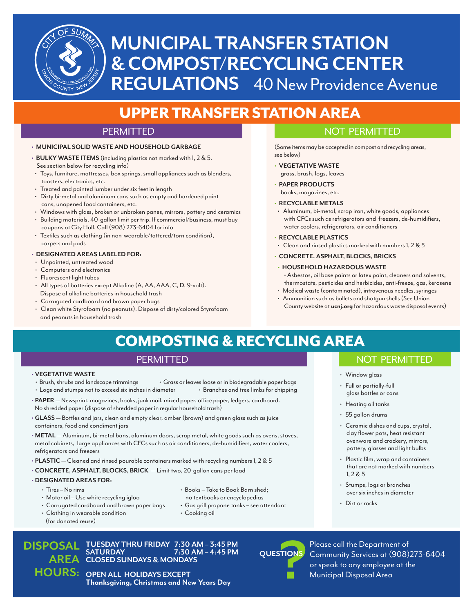

# **MUNICIPAL TRANSFER STATION & COMPOST/RECYCLING CENTER REGULATIONS** 40 New Providence Avenue

# UPPER TRANSFER STATION AREA

#### **PERMITTED**

#### **• MUNICIPAL SOLID WASTE AND HOUSEHOLD GARBAGE**

- **BULKY WASTE ITEMS** (including plastics not marked with 1, 2 & 5. See section below for recycling info)
- Toys, furniture, mattresses, box springs, small appliances such as blenders, toasters, electronics, etc.
- Treated and painted lumber under six feet in length
- Dirty bi-metal and aluminum cans such as empty and hardened paint cans, unopened food containers, etc.
- Windows with glass, broken or unbroken panes, mirrors, pottery and ceramics • Building materials, 40-gallon limit per trip. If commercial/business, must buy
- coupons at City Hall. Call (908) 273-6404 for info
- Textiles such as clothing (in non-wearable/tattered/torn condition), carpets and pads

#### **• DESIGNATED AREAS LABELED FOR:**

- Unpainted, untreated wood
- Computers and electronics
- Fluorescent light tubes
- All types of batteries except Alkaline (A, AA, AAA, C, D, 9-volt). Dispose of alkaline batteries in household trash
- Corrugated cardboard and brown paper bags
- Clean white Styrofoam (no peanuts). Dispose of dirty/colored Styrofoam and peanuts in household trash

#### NOT PERMITTED

(Some items may be accepted in compost and recycling areas, see below)

- **VEGETATIVE WASTE** grass, brush, logs, leaves
- **PAPER PRODUCTS**
	- books, magazines, etc.

#### **• RECYCLABLE METALS**

• Aluminum, bi-metal, scrap iron, white goods, appliances with CFCs such as refrigerators and freezers, de-humidifiers, water coolers, refrigerators, air conditioners

#### **• RECYCLABLE PLASTICS**

- Clean and rinsed plastics marked with numbers 1, 2 & 5
- **CONCRETE, ASPHALT, BLOCKS, BRICKS**

#### **• HOUSEHOLD HAZARDOUS WASTE**

- Asbestos, oil base paints or latex paint, cleaners and solvents, thermostats, pesticides and herbicides, anti-freeze, gas, kerosene
- Medical waste (contaminated), intravenous needles, syringes • Ammunition such as bullets and shotgun shells (See Union
- County website at **ucnj.org** for hazardous waste disposal events)

# COMPOSTING & RECYCLING AREA

### PERMITTED

- **VEGETATIVE WASTE** • Brush, shrubs and landscape trimmings • Grass or leaves loose or in biodegradable paper bags • Logs and stumps not to exceed six inches in diameter
- **PAPER** Newsprint, magazines, books, junk mail, mixed paper, office paper, ledgers, cardboard. No shredded paper (dispose of shredded paper in regular household trash)
- **GLASS** Bottles and jars, clean and empty clear, amber (brown) and green glass such as juice containers, food and condiment jars
- **METAL** Aluminum, bi-metal bans, aluminum doors, scrap metal, white goods such as ovens, stoves, metal cabinets, large appliances with CFCs such as air conditioners, de-humidifiers, water coolers, refrigerators and freezers
- **PLASTIC** Cleaned and rinsed pourable containers marked with recycling numbers 1, 2 & 5
- **CONCRETE, ASPHALT, BLOCKS, BRICK**  Limit two, 20-gallon cans per load

#### **• DESIGNATED AREAS FOR:**

- Tires No rims
- Motor oil Use white recycling igloo
- Corrugated cardboard and brown paper bags
- Clothing in wearable condition (for donated reuse)

### **DISPOSAL AREA CLOSED SUNDAYS & MONDAYS ? TUESDAY THRU FRIDAY 7:30 AM – 3:45 PM SATURDAY 7:30 AM – 4:45 PM**

**HOURS: OPEN ALL HOLIDAYS EXCEPT Thanksgiving, Christmas and New Years Day**

### NOT PERMITTED

- Window glass
- Full or partially-full glass bottles or cans
- Heating oil tanks
- $\cdot$  55 gallon drums
- Ceramic dishes and cups, crystal, clay flower pots, heat resistant ovenware and crockery, mirrors, pottery, glasses and light bulbs
- Plastic film, wrap and containers that are not marked with numbers 1, 2 & 5
- Stumps, logs or branches over six inches in diameter
- Dirt or rocks
- Please call the Department of **QUESTIONS** Community Services at (908)273-6404 or speak to any employee at the Municipal Disposal Area

• Books – Take to Book Barn shed; no textbooks or encyclopedias

- Gas grill propane tanks see attendant
- Cooking oil
- 
- 
- -
	-
	-
	-